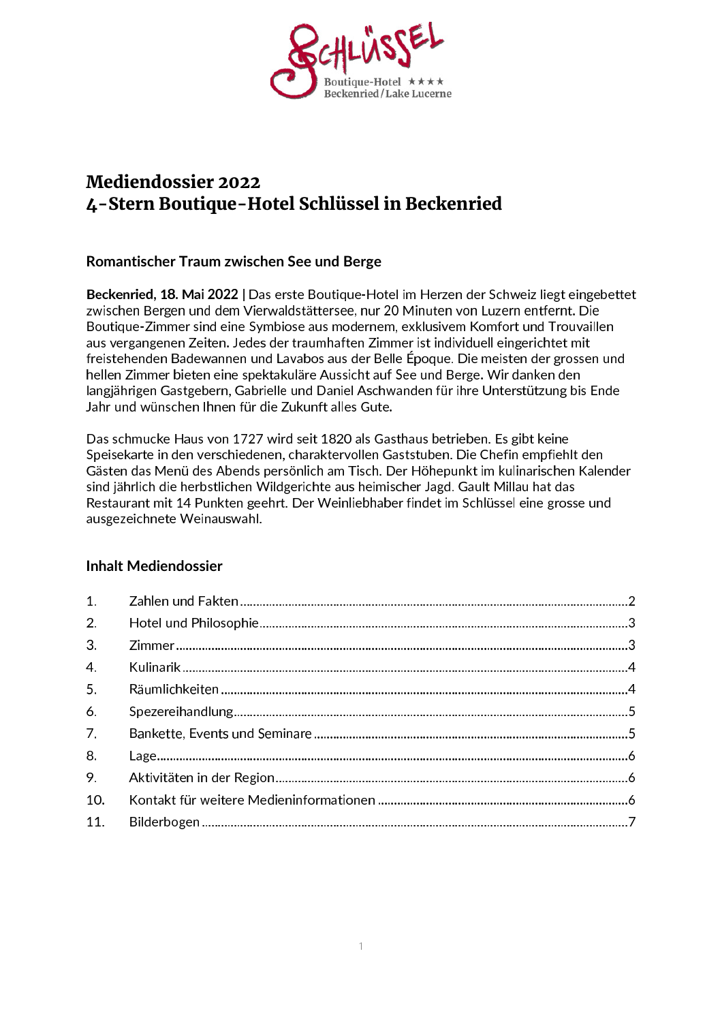

## Mediendossier 2022 4-Stern Boutique-Hotel Schlüssel in Beckenried

#### Romantischer Traum zwischen See und Berge

Beckenried, 18. Mai 2022 | Das erste Boutique-Hotel im Herzen der Schweiz liegt eingebettet zwischen Bergen und dem Vierwaldstättersee, nur 20 Minuten von Luzern entfernt. Die Boutique-Zimmer sind eine Symbiose aus modernem, exklusivem Komfort und Trouvaillen  $4$  ,  $4$  ,  $4$  ,  $5$  ,  $6$  ,  $7$  ,  $6$  ,  $7$  ,  $6$  ,  $7$  ,  $6$   $\cdots$   $6$   $\cdots$   $6$   $\cdots$   $6$   $\cdots$   $6$   $\cdots$   $6$   $\cdots$   $6$   $\cdots$   $6$   $\cdots$   $6$   $\cdots$   $6$   $\cdots$   $6$   $\cdots$   $6$   $\cdots$   $6$   $\cdots$   $6$   $\cdots$   $6$   $\cdots$   $6$   $\cdots$  aus vergangenen Zeiten. Jedes der traumhaften Zimmer ist individuell eingerichtet mit freistehenden Badewannen und Lavabos aus der Belle Époque. Die meisten der grossen und hellen Zimmer bieten eine spektakuläre Aussicht auf See und Berge. Wir danken den langjährigen Gastgebern, Gabrielle und Daniel Aschwanden für ihre Unterstützung bis Ende Jahr und wünschen Ihnen für die Zukunft alles Gute.

Das schmucke Haus von 1727 wird seit 1820 als Gasthaus betrieben. Es gibt keine Speisekarte in den verschiedenen, charaktervollen Gaststuben. Die Chefin empfiehlt den Gästen das Menü des Abends persönlich am Tisch. Der Höhepunkt im kulinarischen Kalender sind jährlich die herbstlichen Wildgerichte aus heimischer Jagd. Gault Millau hat das Restaurant mit 14 Punkten geehrt. Der Weinliebhaber findet im Schlüssel eine grosse und ausgezeichnete Weinauswahl.

#### **Inhalt Mediendossier**

| 1.  |  |
|-----|--|
| 2.  |  |
| 3.  |  |
| 4.  |  |
| 5.  |  |
| 6.  |  |
| 7.  |  |
| 8.  |  |
| 9.  |  |
| 10. |  |
| 11. |  |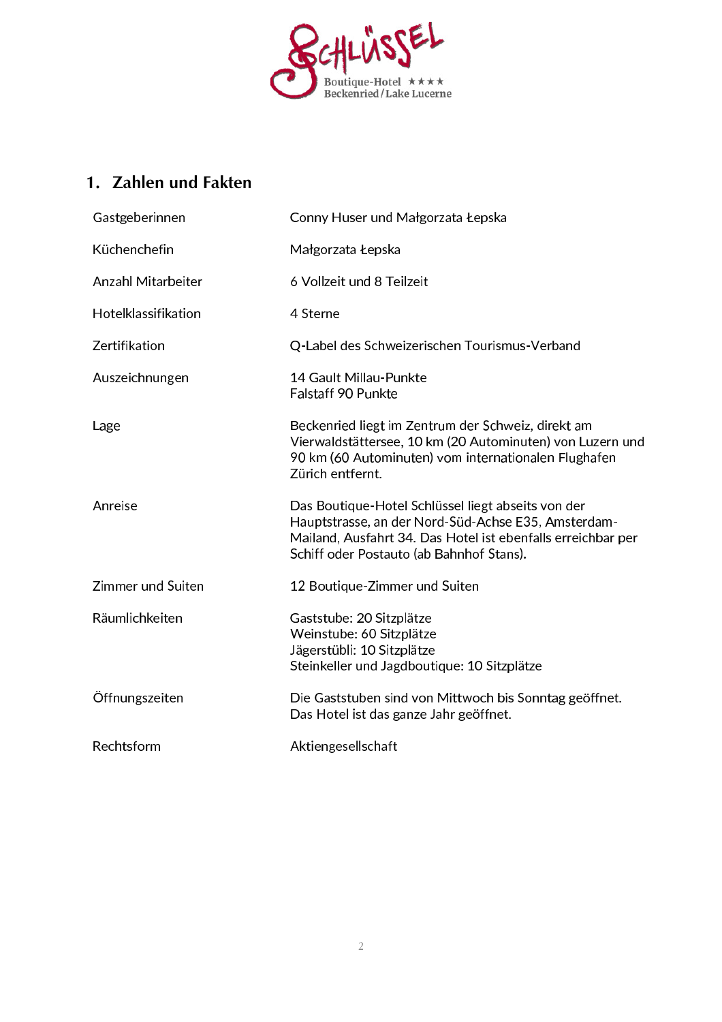

# 1. Zahlen und Fakten

| Gastgeberinnen           | Conny Huser und Małgorzata Łepska                                                                                                                                                                                     |  |
|--------------------------|-----------------------------------------------------------------------------------------------------------------------------------------------------------------------------------------------------------------------|--|
| Küchenchefin             | Małgorzata Łepska                                                                                                                                                                                                     |  |
| Anzahl Mitarbeiter       | 6 Vollzeit und 8 Teilzeit                                                                                                                                                                                             |  |
| Hotelklassifikation      | 4 Sterne                                                                                                                                                                                                              |  |
| Zertifikation            | Q-Label des Schweizerischen Tourismus-Verband                                                                                                                                                                         |  |
| Auszeichnungen           | 14 Gault Millau-Punkte<br>Falstaff 90 Punkte                                                                                                                                                                          |  |
| Lage                     | Beckenried liegt im Zentrum der Schweiz, direkt am<br>Vierwaldstättersee, 10 km (20 Autominuten) von Luzern und<br>90 km (60 Autominuten) vom internationalen Flughafen<br>Zürich entfernt.                           |  |
| Anreise                  | Das Boutique-Hotel Schlüssel liegt abseits von der<br>Hauptstrasse, an der Nord-Süd-Achse E35, Amsterdam-<br>Mailand, Ausfahrt 34. Das Hotel ist ebenfalls erreichbar per<br>Schiff oder Postauto (ab Bahnhof Stans). |  |
| <b>Zimmer und Suiten</b> | 12 Boutique-Zimmer und Suiten                                                                                                                                                                                         |  |
| Räumlichkeiten           | Gaststube: 20 Sitzplätze<br>Weinstube: 60 Sitzplätze<br>Jägerstübli: 10 Sitzplätze<br>Steinkeller und Jagdboutique: 10 Sitzplätze                                                                                     |  |
| Öffnungszeiten           | Die Gaststuben sind von Mittwoch bis Sonntag geöffnet.<br>Das Hotel ist das ganze Jahr geöffnet.                                                                                                                      |  |
| Rechtsform               | Aktiengesellschaft                                                                                                                                                                                                    |  |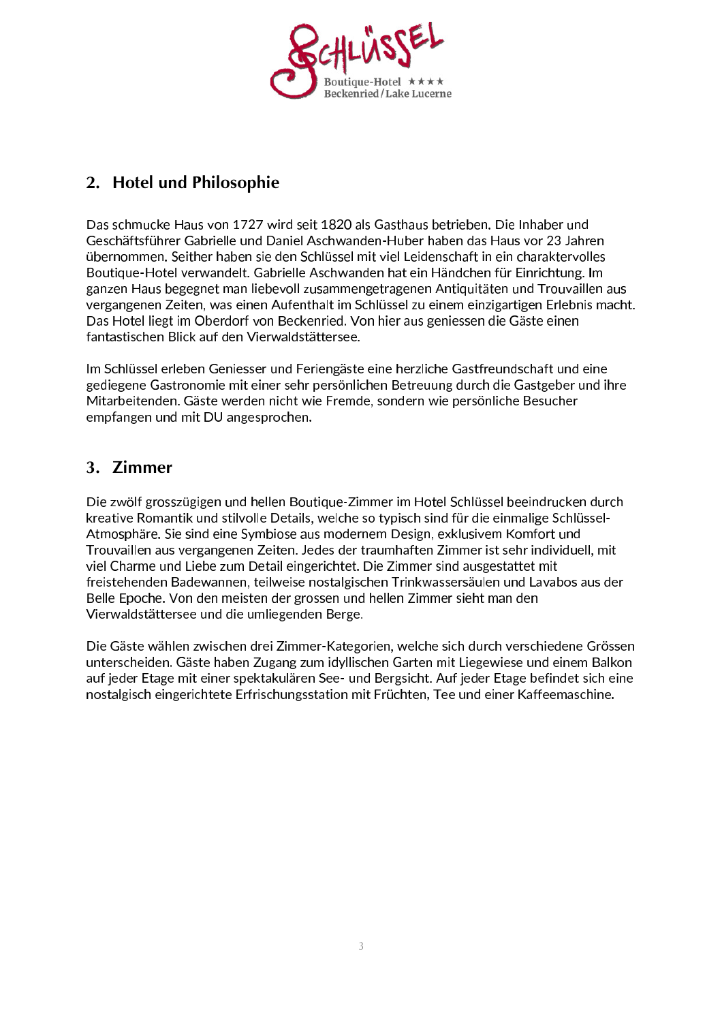

### 2. Hotel und Philosophie

Das schmucke Haus von 1727 wird seit 1820 als Gasthaus betrieben. Die Inhaber und Geschäftsführer Gabrielle und Daniel Aschwanden-Huber haben das Haus vor 23 Jahren übernommen. Seither haben sie den Schlüssel mit viel Leidenschaft in ein charaktervolles Boutique-Hotel verwandelt. Gabrielle Aschwanden hat ein Händchen für Einrichtung. Im ganzen Haus begegnet man liebevoll zusammengetragenen Antiquitäten und Trouvaillen aus vergangenen Zeiten, was einen Aufenthalt im Schlüssel zu einem einzigartigen Erlebnis macht. Das Hotel liegt im Oberdorf von Beckenried. Von hier aus geniessen die Gäste einen fantastischen Blick auf den Vierwaldstättersee.

Im Schlüssel erleben Geniesser und Feriengäste eine herzliche Gastfreundschaft und eine gediegene Gastronomie mit einer sehr persönlichen Betreuung durch die Gastgeber und ihre Mitarbeitenden. Gäste werden nicht wie Fremde, sondern wie persönliche Besucher empfangen und mit DU angesprochen.

### 3. Zimmer

Die zwölf grosszügigen und hellen Boutique-Zimmer im Hotel Schlüssel beeindrucken durch kreative Romantik und stilvolle Details, welche so typisch sind für die einmalige Schlüssel-Atmosphäre. Sie sind eine Symbiose aus modernem Design, exklusivem Komfort und Trouvaillen aus vergangenen Zeiten. Jedes der traumhaften Zimmer ist sehr individuell, mit viel Charme und Liebe zum Detail eingerichtet. Die Zimmer sind ausgestattet mit freistehenden Badewannen, teilweise nostalgischen Trinkwassersäulen und Lavabos aus der Belle Epoche. Von den meisten der grossen und hellen Zimmer sieht man den Vierwaldstättersee und die umliegenden Berge.

Die Gäste wählen zwischen drei Zimmer-Kategorien, welche sich durch verschiedene Grössen unterscheiden. Gäste haben Zugang zum idyllischen Garten mit Liegewiese und einem Balkon auf jeder Etage mit einer spektakulären See- und Bergsicht. Auf jeder Etage befindet sich eine nostalgisch eingerichtete Erfrischungsstation mit Früchten, Tee und einer Kaffeemaschine.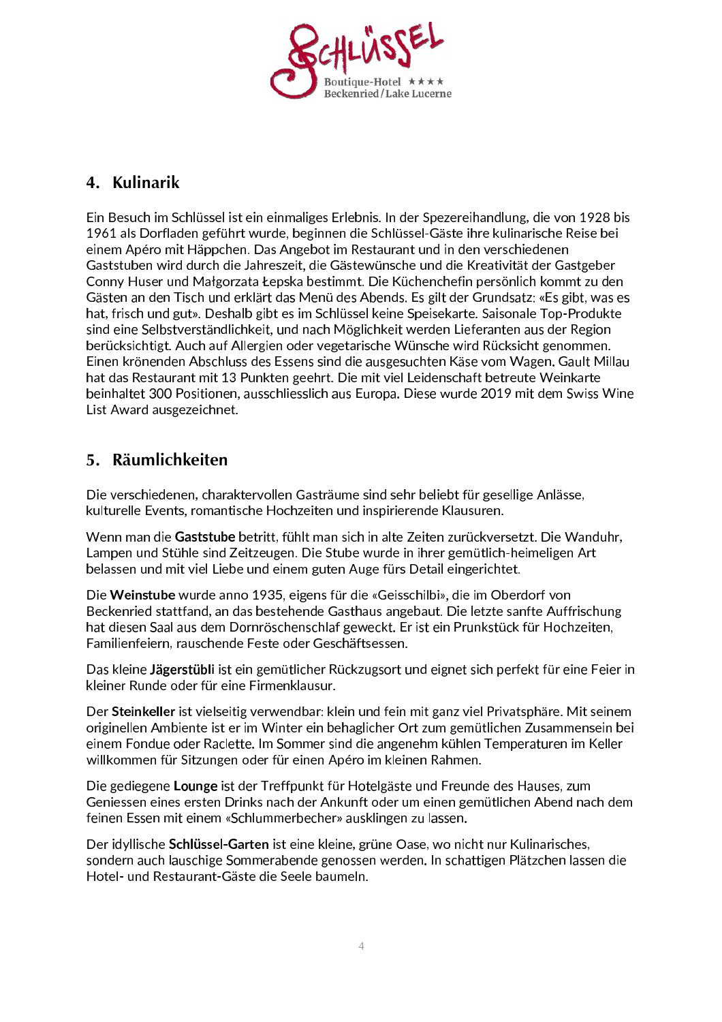

#### 4. Kulinarik

Ein Besuch im Schlüssel ist ein einmaliges Erlebnis. In der Spezereihandlung, die von 1928 bis 1961 als Dorfladen geführt wurde, beginnen die Schlüssel-Gäste ihre kulinarische Reise bei einem Apéro mit Häppchen. Das Angebot im Restaurant und in den verschiedenen Gaststuben wird durch die Jahreszeit, die Gästewünsche und die Kreativität der Gastgeber Conny Huser und Małgorzata Łepska bestimmt. Die Küchenchefin persönlich kommt zu den Gästen an den Tisch und erklärt das Menü des Abends. Es gilt der Grundsatz: «Es gibt, was es hat, frisch und gut». Deshalb gibt es im Schlüssel keine Speisekarte. Saisonale Top-Produkte sind eine Selbstverständlichkeit, und nach Möglichkeit werden Lieferanten aus der Region berücksichtigt. Auch auf Allergien oder vegetarische Wünsche wird Rücksicht genommen. Einen krönenden Abschluss des Essens sind die ausgesuchten Käse vom Wagen. Gault Millau hat das Restaurant mit 13 Punkten geehrt. Die mit viel Leidenschaft betreute Weinkarte beinhaltet 300 Positionen, ausschliesslich aus Europa. Diese wurde 2019 mit dem Swiss Wine List Award ausgezeichnet.

#### 5. Räumlichkeiten

Die verschiedenen, charaktervollen Gasträume sind sehr beliebt für gesellige Anlässe, kulturelle Events, romantische Hochzeiten und inspirierende Klausuren.

Wenn man die Gaststube betritt, fühlt man sich in alte Zeiten zurückversetzt. Die Wanduhr, Lampen und Stühle sind Zeitzeugen. Die Stube wurde in ihrer gemütlich-heimeligen Art belassen und mit viel Liebe und einem guten Auge fürs Detail eingerichtet.

Die Weinstube wurde anno 1935, eigens für die «Geisschilbi», die im Oberdorf von Beckenried stattfand, an das bestehende Gasthaus angebaut. Die letzte sanfte Auffrischung hat diesen Saal aus dem Dornröschenschlaf geweckt. Er ist ein Prunkstück für Hochzeiten, Familienfeiern, rauschende Feste oder Geschäftsessen.

Das kleine Jägerstübli ist ein gemütlicher Rückzugsort und eignet sich perfekt für eine Feier in kleiner Runde oder für eine Firmenklausur.

Der Steinkeller ist vielseitig verwendbar: klein und fein mit ganz viel Privatsphäre. Mit seinem originellen Ambiente ist er im Winter ein behaglicher Ort zum gemütlichen Zusammensein bei einem Fondue oder Raclette. Im Sommer sind die angenehm kühlen Temperaturen im Keller willkommen für Sitzungen oder für einen Apéro im kleinen Rahmen.

Die gediegene Lounge ist der Treffpunkt für Hotelgäste und Freunde des Hauses, zum Geniessen eines ersten Drinks nach der Ankunft oder um einen gemütlichen Abend nach dem feinen Essen mit einem «Schlummerbecher» ausklingen zu lassen.

Der idvilische Schlüssel-Garten ist eine kleine, grüne Oase, wo nicht nur Kulinarisches. sondern auch lauschige Sommerabende genossen werden. In schattigen Plätzchen lassen die Hotel- und Restaurant-Gäste die Seele baumeln.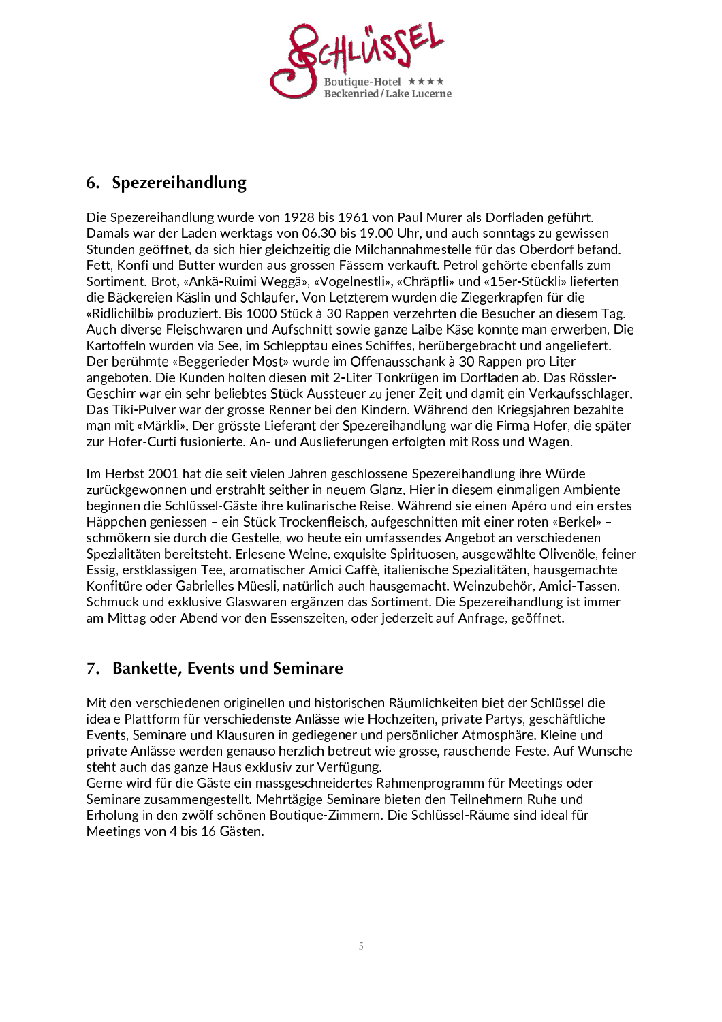

## 6. Spezereihandlung

Die Spezereihandlung wurde von 1928 bis 1961 von Paul Murer als Dorfladen geführt. Damals war der Laden werktags von 06.30 bis 19.00 Uhr, und auch sonntags zu gewissen Stunden geöffnet, da sich hier gleichzeitig die Milchannahmestelle für das Oberdorf befand. Fett. Konfi und Butter wurden aus grossen Fässern verkauft. Petrol gehörte ebenfalls zum Sortiment. Brot, «Ankä-Ruimi Weggä», «Vogelnestli», «Chräpfli» und «15er-Stückli» lieferten die Bäckereien Käslin und Schlaufer. Von Letzterem wurden die Ziegerkrapfen für die «Ridlichilbi» produziert. Bis 1000 Stück à 30 Rappen verzehrten die Besucher an diesem Tag. Auch diverse Fleischwaren und Aufschnitt sowie ganze Laibe Käse konnte man erwerben. Die Kartoffeln wurden via See, im Schlepptau eines Schiffes, herübergebracht und angeliefert. Der berühmte «Beggerieder Most» wurde im Offenausschank à 30 Rappen pro Liter angeboten. Die Kunden holten diesen mit 2-Liter Tonkrügen im Dorfladen ab. Das Rössler-Geschirr war ein sehr beliebtes Stück Aussteuer zu jener Zeit und damit ein Verkaufsschlager. Das Tiki-Pulver war der grosse Renner bei den Kindern. Während den Kriegsiahren bezahlte man mit «Märkli». Der grösste Lieferant der Spezereihandlung war die Firma Hofer, die später zur Hofer-Curti fusionierte. An- und Auslieferungen erfolgten mit Ross und Wagen.

Im Herbst 2001 hat die seit vielen Jahren geschlossene Spezereihandlung ihre Würde zurückgewonnen und erstrahlt seither in neuem Glanz. Hier in diesem einmaligen Ambiente beginnen die Schlüssel-Gäste ihre kulinarische Reise. Während sie einen Apéro und ein erstes Häppchen geniessen - ein Stück Trockenfleisch, aufgeschnitten mit einer roten «Berkel» schmökern sie durch die Gestelle, wo heute ein umfassendes Angebot an verschiedenen Spezialitäten bereitsteht. Erlesene Weine, exquisite Spirituosen, ausgewählte Olivenöle, feiner Essig, erstklassigen Tee, aromatischer Amici Caffè, italienische Spezialitäten, hausgemachte Konfitüre oder Gabrielles Müesli, natürlich auch hausgemacht. Weinzubehör, Amici-Tassen, Schmuck und exklusive Glaswaren ergänzen das Sortiment. Die Spezereihandlung ist immer am Mittag oder Abend vor den Essenszeiten, oder jederzeit auf Anfrage, geöffnet.

### 7. Bankette, Events und Seminare

Mit den verschiedenen originellen und historischen Räumlichkeiten biet der Schlüssel die ideale Plattform für verschiedenste Anlässe wie Hochzeiten, private Partys, geschäftliche Events, Seminare und Klausuren in gediegener und persönlicher Atmosphäre. Kleine und private Anlässe werden genauso herzlich betreut wie grosse, rauschende Feste. Auf Wunsche steht auch das ganze Haus exklusiv zur Verfügung.

Gerne wird für die Gäste ein massgeschneidertes Rahmenprogramm für Meetings oder Seminare zusammengestellt. Mehrtägige Seminare bieten den Teilnehmern Ruhe und Erholung in den zwölf schönen Boutique-Zimmern. Die Schlüssel-Räume sind ideal für Meetings von 4 bis 16 Gästen.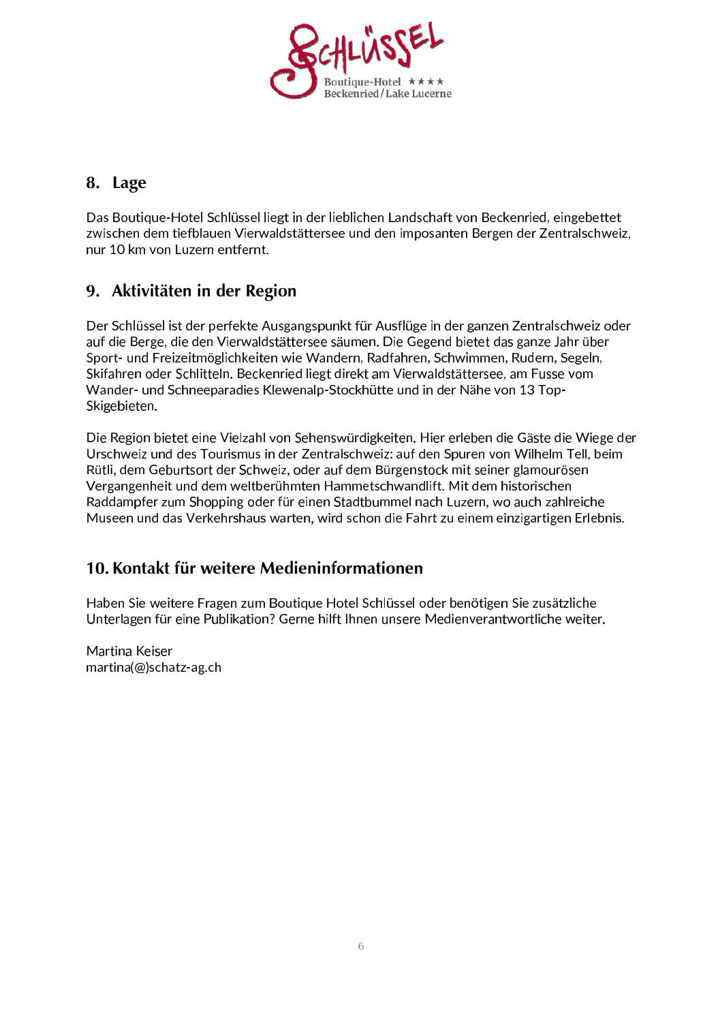

#### 8. Lage

Das Boutique-Hotel Schlüssel liegt in der lieblichen Landschaft von Beckenried, eingebettet zwischen dem tiefblauen Vierwaldstättersee und den imposanten Bergen der Zentralschweiz, nur 10 km von Luzern entfernt.

#### 9. Aktivitäten in der Region

Der Schlüssel ist der perfekte Ausgangspunkt für Ausflüge in der ganzen Zentralschweiz oder auf die Berge, die den Vierwaldstättersee säumen. Die Gegend bietet das ganze Jahr über Sport- und Freizeitmöglichkeiten wie Wandern, Radfahren, Schwimmen, Rudern, Segeln, Skifahren oder Schlitteln. Beckenried liegt direkt am Vierwaldstättersee, am Fusse vom Wander- und Schneeparadies Klewenalp-Stockhütte und in der Nähe von 13 Top-Skigebieten.

Die Region bietet eine Vielzahl von Sehenswürdigkeiten. Hier erleben die Gäste die Wiege der Urschweiz und des Tourismus in der Zentralschweiz: auf den Spuren von Wilhelm Tell, beim Rütli, dem Geburtsort der Schweiz, oder auf dem Bürgenstock mit seiner glamourösen Vergangenheit und dem weltberühmten Hammetschwandlift. Mit dem historischen Raddampfer zum Shopping oder für einen Stadtbummel nach Luzern, wo auch zahlreiche Museen und das Verkehrshaus warten, wird schon die Fahrt zu einem einzigartigen Erlebnis.

#### 10. Kontakt für weitere Medieninformationen

Haben Sie weitere Fragen zum Boutique Hotel Schlüssel oder benötigen Sie zusätzliche Unterlagen für eine Publikation? Gerne hilft Ihnen unsere Medienverantwortliche weiter.

Martina Keiser  $martina@)$ schatz-ag.ch